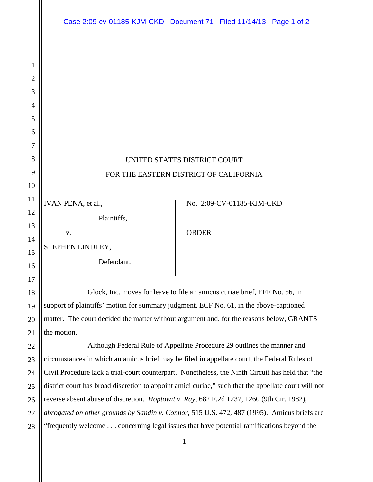| Case 2:09-cv-01185-KJM-CKD Document 71 Filed 11/14/13 Page 1 of 2 |  |  |
|-------------------------------------------------------------------|--|--|
|                                                                   |  |  |

## UNITED STATES DISTRICT COURT FOR THE EASTERN DISTRICT OF CALIFORNIA

IVAN PENA, et al.,

v.

Plaintiffs,

No. 2:09-CV-01185-KJM-CKD

## **ORDER**

STEPHEN LINDLEY,

Defendant.

 Glock, Inc. moves for leave to file an amicus curiae brief, EFF No. 56, in support of plaintiffs' motion for summary judgment, ECF No. 61, in the above-captioned matter. The court decided the matter without argument and, for the reasons below, GRANTS the motion.

Although Federal Rule of Appellate Procedure 29 outlines the manner and circumstances in which an amicus brief may be filed in appellate court, the Federal Rules of Civil Procedure lack a trial-court counterpart. Nonetheless, the Ninth Circuit has held that "the district court has broad discretion to appoint amici curiae," such that the appellate court will not reverse absent abuse of discretion. *Hoptowit v. Ray*, 682 F.2d 1237, 1260 (9th Cir. 1982), *abrogated on other grounds by Sandin v. Connor*, 515 U.S. 472, 487 (1995). Amicus briefs are "frequently welcome . . . concerning legal issues that have potential ramifications beyond the

1

2

3

4

5

6